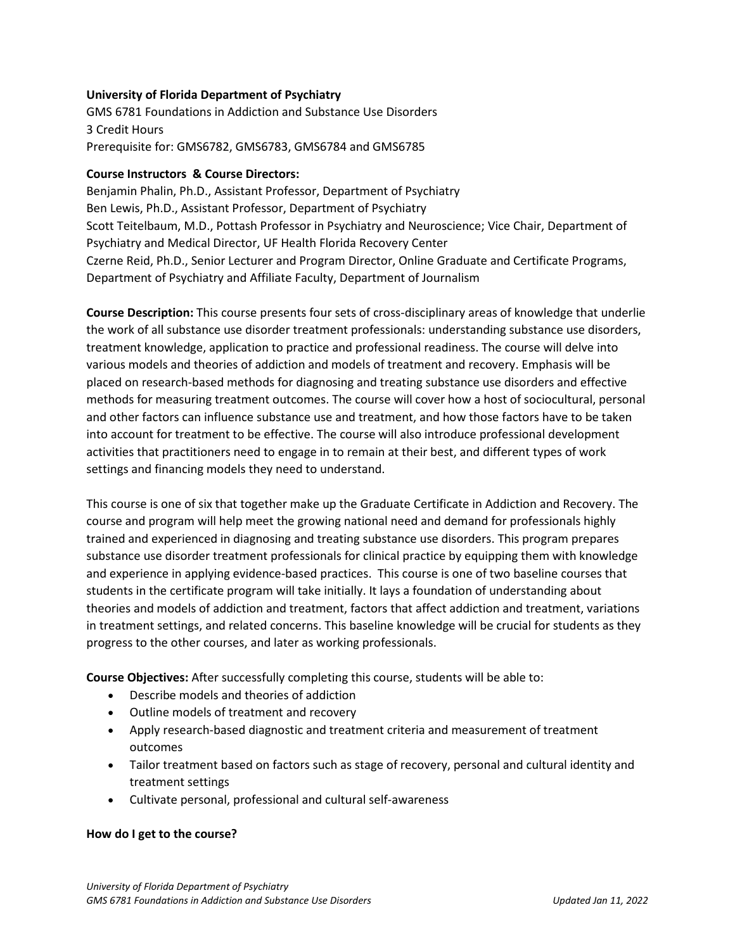## **University of Florida Department of Psychiatry**

GMS 6781 Foundations in Addiction and Substance Use Disorders 3 Credit Hours Prerequisite for: GMS6782, GMS6783, GMS6784 and GMS6785

### **Course Instructors & Course Directors:**

Benjamin Phalin, Ph.D., Assistant Professor, Department of Psychiatry Ben Lewis, Ph.D., Assistant Professor, Department of Psychiatry Scott Teitelbaum, M.D., Pottash Professor in Psychiatry and Neuroscience; Vice Chair, Department of Psychiatry and Medical Director, UF Health Florida Recovery Center Czerne Reid, Ph.D., Senior Lecturer and Program Director, Online Graduate and Certificate Programs, Department of Psychiatry and Affiliate Faculty, Department of Journalism

**Course Description:** This course presents four sets of cross-disciplinary areas of knowledge that underlie the work of all substance use disorder treatment professionals: understanding substance use disorders, treatment knowledge, application to practice and professional readiness. The course will delve into various models and theories of addiction and models of treatment and recovery. Emphasis will be placed on research-based methods for diagnosing and treating substance use disorders and effective methods for measuring treatment outcomes. The course will cover how a host of sociocultural, personal and other factors can influence substance use and treatment, and how those factors have to be taken into account for treatment to be effective. The course will also introduce professional development activities that practitioners need to engage in to remain at their best, and different types of work settings and financing models they need to understand.

This course is one of six that together make up the Graduate Certificate in Addiction and Recovery. The course and program will help meet the growing national need and demand for professionals highly trained and experienced in diagnosing and treating substance use disorders. This program prepares substance use disorder treatment professionals for clinical practice by equipping them with knowledge and experience in applying evidence-based practices. This course is one of two baseline courses that students in the certificate program will take initially. It lays a foundation of understanding about theories and models of addiction and treatment, factors that affect addiction and treatment, variations in treatment settings, and related concerns. This baseline knowledge will be crucial for students as they progress to the other courses, and later as working professionals.

**Course Objectives:** After successfully completing this course, students will be able to:

- Describe models and theories of addiction
- Outline models of treatment and recovery
- Apply research-based diagnostic and treatment criteria and measurement of treatment outcomes
- Tailor treatment based on factors such as stage of recovery, personal and cultural identity and treatment settings
- Cultivate personal, professional and cultural self-awareness

### **How do I get to the course?**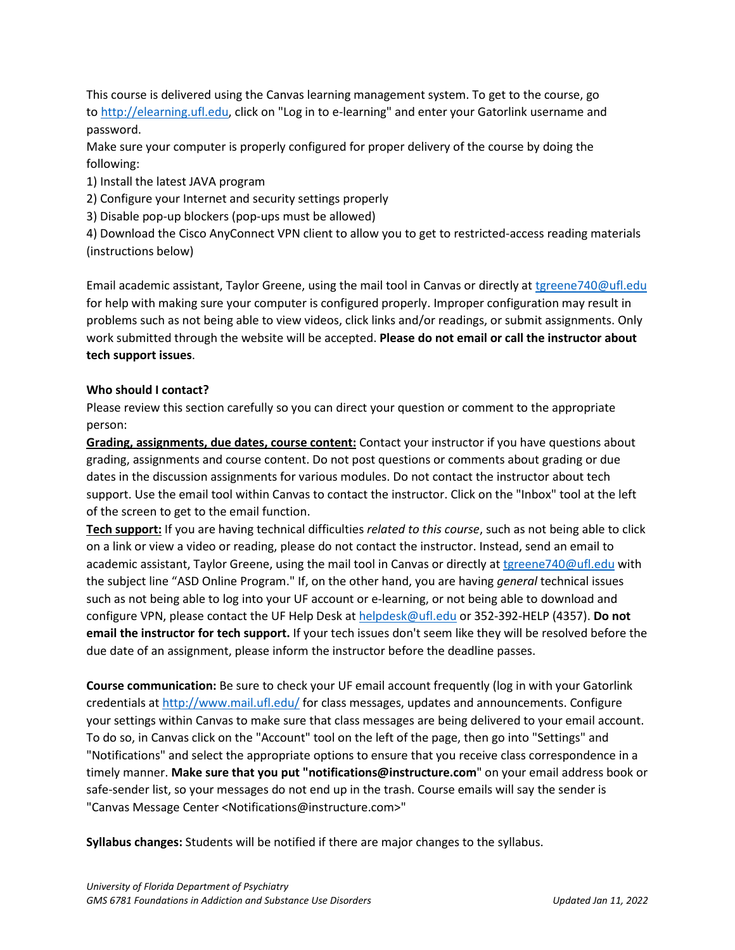This course is delivered using the Canvas learning management system. To get to the course, go to [http://elearning.ufl.edu,](http://elearning.ufl.edu/) click on "Log in to e-learning" and enter your Gatorlink username and password.

Make sure your computer is properly configured for proper delivery of the course by doing the following:

1) Install the latest JAVA program

2) Configure your Internet and security settings properly

3) Disable pop-up blockers (pop-ups must be allowed)

4) Download the Cisco AnyConnect VPN client to allow you to get to restricted-access reading materials (instructions below)

Email academic assistant, Taylor Greene, using the mail tool in Canvas or directly at [tgreene740@ufl.edu](mailto:tgreene740@ufl.edu) for help with making sure your computer is configured properly. Improper configuration may result in problems such as not being able to view videos, click links and/or readings, or submit assignments. Only work submitted through the website will be accepted. **Please do not email or call the instructor about tech support issues**.

## **Who should I contact?**

Please review this section carefully so you can direct your question or comment to the appropriate person:

**Grading, assignments, due dates, course content:** Contact your instructor if you have questions about grading, assignments and course content. Do not post questions or comments about grading or due dates in the discussion assignments for various modules. Do not contact the instructor about tech support. Use the email tool within Canvas to contact the instructor. Click on the "Inbox" tool at the left of the screen to get to the email function.

**Tech support:** If you are having technical difficulties *related to this course*, such as not being able to click on a link or view a video or reading, please do not contact the instructor. Instead, send an email to academic assistant, Taylor Greene, using the mail tool in Canvas or directly at *tgreene740@ufl.edu* with the subject line "ASD Online Program." If, on the other hand, you are having *general* technical issues such as not being able to log into your UF account or e-learning, or not being able to download and configure VPN, please contact the UF Help Desk at [helpdesk@ufl.edu](mailto:helpdesk@ufl.edu) or 352-392-HELP (4357). **Do not email the instructor for tech support.** If your tech issues don't seem like they will be resolved before the due date of an assignment, please inform the instructor before the deadline passes.

**Course communication:** Be sure to check your UF email account frequently (log in with your Gatorlink credentials at [http://www.mail.ufl.edu/](http://www.mail.ufl.edu/)) for class messages, updates and announcements. Configure your settings within Canvas to make sure that class messages are being delivered to your email account. To do so, in Canvas click on the "Account" tool on the left of the page, then go into "Settings" and "Notifications" and select the appropriate options to ensure that you receive class correspondence in a timely manner. **Make sure that you put "notifications@instructure.com**" on your email address book or safe-sender list, so your messages do not end up in the trash. Course emails will say the sender is "Canvas Message Center <Notifications@instructure.com>"

**Syllabus changes:** Students will be notified if there are major changes to the syllabus.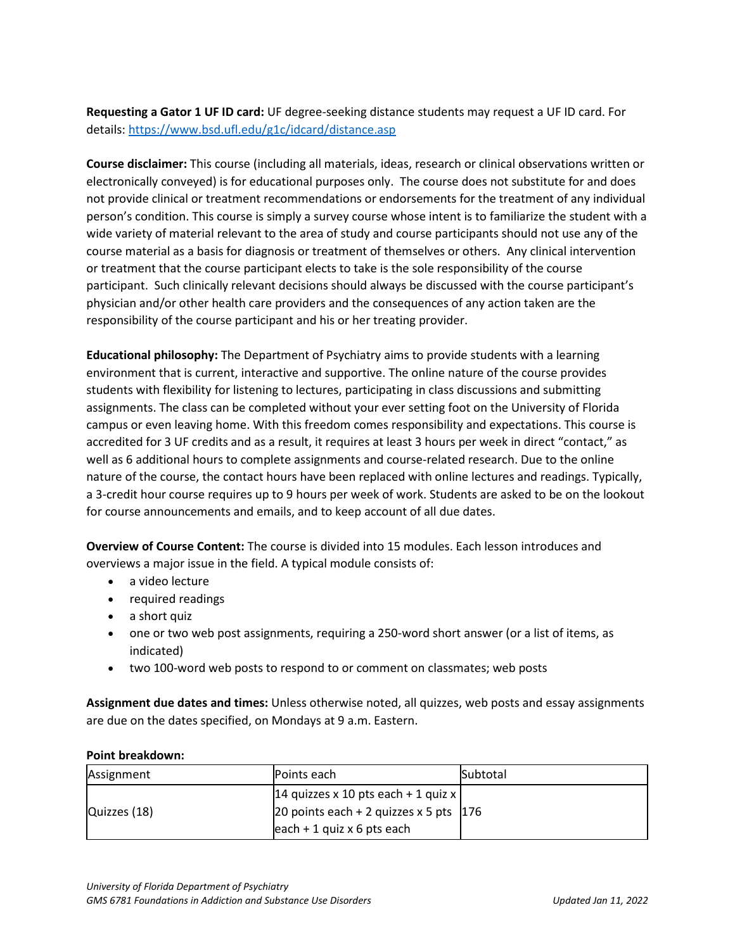**Requesting a Gator 1 UF ID card:** UF degree-seeking distance students may request a UF ID card. For details:<https://www.bsd.ufl.edu/g1c/idcard/distance.asp>

**Course disclaimer:** This course (including all materials, ideas, research or clinical observations written or electronically conveyed) is for educational purposes only. The course does not substitute for and does not provide clinical or treatment recommendations or endorsements for the treatment of any individual person's condition. This course is simply a survey course whose intent is to familiarize the student with a wide variety of material relevant to the area of study and course participants should not use any of the course material as a basis for diagnosis or treatment of themselves or others. Any clinical intervention or treatment that the course participant elects to take is the sole responsibility of the course participant. Such clinically relevant decisions should always be discussed with the course participant's physician and/or other health care providers and the consequences of any action taken are the responsibility of the course participant and his or her treating provider.

**Educational philosophy:** The Department of Psychiatry aims to provide students with a learning environment that is current, interactive and supportive. The online nature of the course provides students with flexibility for listening to lectures, participating in class discussions and submitting assignments. The class can be completed without your ever setting foot on the University of Florida campus or even leaving home. With this freedom comes responsibility and expectations. This course is accredited for 3 UF credits and as a result, it requires at least 3 hours per week in direct "contact," as well as 6 additional hours to complete assignments and course-related research. Due to the online nature of the course, the contact hours have been replaced with online lectures and readings. Typically, a 3-credit hour course requires up to 9 hours per week of work. Students are asked to be on the lookout for course announcements and emails, and to keep account of all due dates.

**Overview of Course Content:** The course is divided into 15 modules. Each lesson introduces and overviews a major issue in the field. A typical module consists of:

- a video lecture
- required readings
- a short quiz
- one or two web post assignments, requiring a 250-word short answer (or a list of items, as indicated)
- two 100-word web posts to respond to or comment on classmates; web posts

**Assignment due dates and times:** Unless otherwise noted, all quizzes, web posts and essay assignments are due on the dates specified, on Mondays at 9 a.m. Eastern.

### **Point breakdown:**

| Assignment   | Points each                                                                                                        | <b>Subtotal</b> |
|--------------|--------------------------------------------------------------------------------------------------------------------|-----------------|
| Quizzes (18) | 14 quizzes x 10 pts each + 1 quiz x  <br>20 points each + 2 quizzes x 5 pts $176$<br>$ each + 1$ quiz x 6 pts each |                 |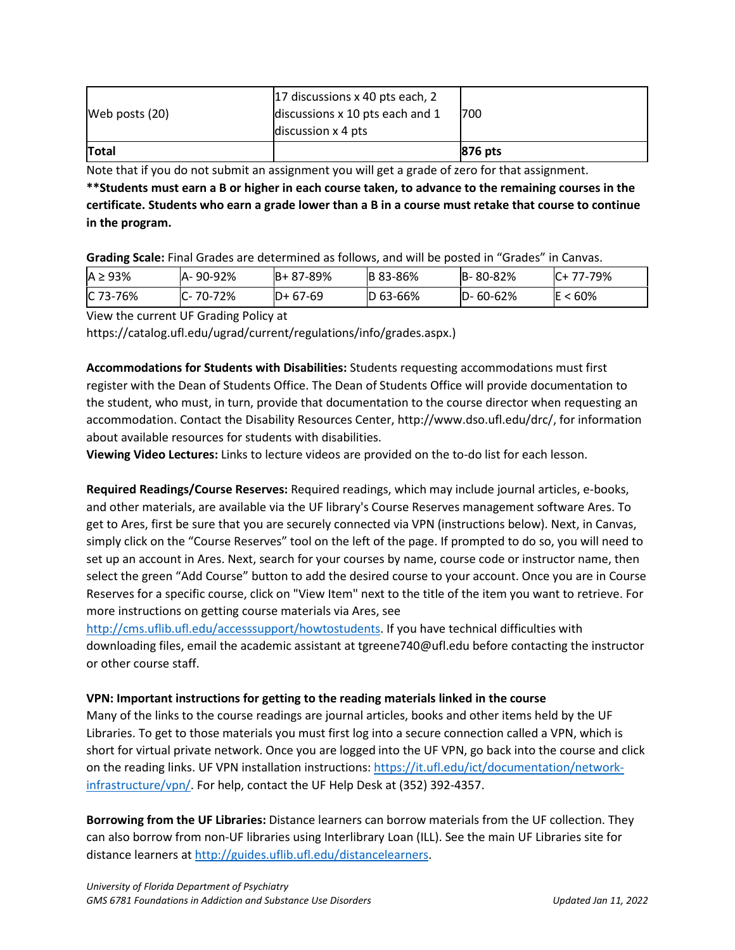| Web posts (20) | 17 discussions x 40 pts each, 2<br>discussions x 10 pts each and 1<br>discussion $\times$ 4 pts | 700     |
|----------------|-------------------------------------------------------------------------------------------------|---------|
| <b>Total</b>   |                                                                                                 | 876 pts |

Note that if you do not submit an assignment you will get a grade of zero for that assignment.

**\*\*Students must earn a B or higher in each course taken, to advance to the remaining courses in the certificate. Students who earn a grade lower than a B in a course must retake that course to continue in the program.**

**Grading Scale:** Final Grades are determined as follows, and will be posted in "Grades" in Canvas.

| $A \geq 93\%$ | A-90-92% | IB+ 87-89% | <b>B</b> 83-86% | B-80-82%       | $IC+ 77-79\%$ |
|---------------|----------|------------|-----------------|----------------|---------------|
| $IC$ 73-76%   | C-70-72% | $D+67-69$  | $ D 63 - 66%$   | $D - 60 - 62%$ | ີ < 60%<br>ΙE |

View the current UF Grading Policy at

https://catalog.ufl.edu/ugrad/current/regulations/info/grades.aspx.)

**Accommodations for Students with Disabilities:** Students requesting accommodations must first register with the Dean of Students Office. The Dean of Students Office will provide documentation to the student, who must, in turn, provide that documentation to the course director when requesting an accommodation. Contact the Disability Resources Center, http://www.dso.ufl.edu/drc/, for information about available resources for students with disabilities.

**Viewing Video Lectures:** Links to lecture videos are provided on the to-do list for each lesson.

**Required Readings/Course Reserves:** Required readings, which may include journal articles, e-books, and other materials, are available via the UF library's Course Reserves management software Ares. To get to Ares, first be sure that you are securely connected via VPN (instructions below). Next, in Canvas, simply click on the "Course Reserves" tool on the left of the page. If prompted to do so, you will need to set up an account in Ares. Next, search for your courses by name, course code or instructor name, then select the green "Add Course" button to add the desired course to your account. Once you are in Course Reserves for a specific course, click on "View Item" next to the title of the item you want to retrieve. For more instructions on getting course materials via Ares, see

[http://cms.uflib.ufl.edu/accesssupport/howtostudents.](http://cms.uflib.ufl.edu/accesssupport/howtostudents) If you have technical difficulties with downloading files, email the academic assistant at tgreene740@ufl.edu before contacting the instructor or other course staff.

## **VPN: Important instructions for getting to the reading materials linked in the course**

Many of the links to the course readings are journal articles, books and other items held by the UF Libraries. To get to those materials you must first log into a secure connection called a VPN, which is short for virtual private network. Once you are logged into the UF VPN, go back into the course and click on the reading links. UF VPN installation instructions[: https://it.ufl.edu/ict/documentation/network](https://it.ufl.edu/ict/documentation/network-infrastructure/vpn/)[infrastructure/vpn/.](https://it.ufl.edu/ict/documentation/network-infrastructure/vpn/) For help, contact the UF Help Desk at (352) 392-4357.

**Borrowing from the UF Libraries:** Distance learners can borrow materials from the UF collection. They can also borrow from non-UF libraries using Interlibrary Loan (ILL). See the main UF Libraries site for distance learners at [http://guides.uflib.ufl.edu/distancelearners.](http://guides.uflib.ufl.edu/distancelearners)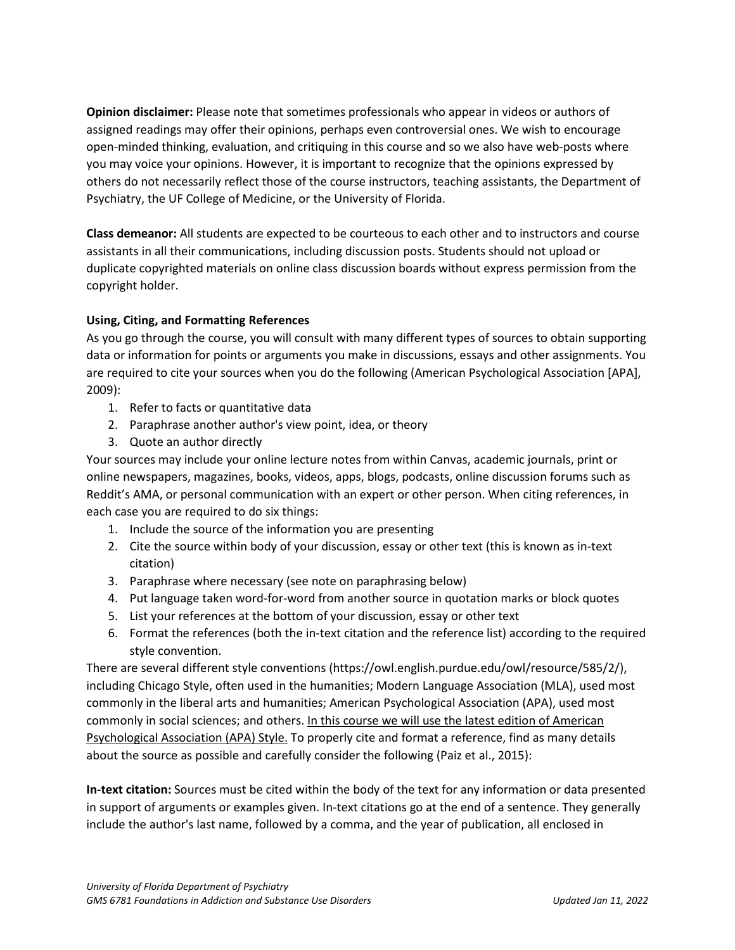**Opinion disclaimer:** Please note that sometimes professionals who appear in videos or authors of assigned readings may offer their opinions, perhaps even controversial ones. We wish to encourage open-minded thinking, evaluation, and critiquing in this course and so we also have web-posts where you may voice your opinions. However, it is important to recognize that the opinions expressed by others do not necessarily reflect those of the course instructors, teaching assistants, the Department of Psychiatry, the UF College of Medicine, or the University of Florida.

**Class demeanor:** All students are expected to be courteous to each other and to instructors and course assistants in all their communications, including discussion posts. Students should not upload or duplicate copyrighted materials on online class discussion boards without express permission from the copyright holder.

# **Using, Citing, and Formatting References**

As you go through the course, you will consult with many different types of sources to obtain supporting data or information for points or arguments you make in discussions, essays and other assignments. You are required to cite your sources when you do the following (American Psychological Association [APA], 2009):

- 1. Refer to facts or quantitative data
- 2. Paraphrase another author's view point, idea, or theory
- 3. Quote an author directly

Your sources may include your online lecture notes from within Canvas, academic journals, print or online newspapers, magazines, books, videos, apps, blogs, podcasts, online discussion forums such as Reddit's AMA, or personal communication with an expert or other person. When citing references, in each case you are required to do six things:

- 1. Include the source of the information you are presenting
- 2. Cite the source within body of your discussion, essay or other text (this is known as in-text citation)
- 3. Paraphrase where necessary (see note on paraphrasing below)
- 4. Put language taken word-for-word from another source in quotation marks or block quotes
- 5. List your references at the bottom of your discussion, essay or other text
- 6. Format the references (both the in-text citation and the reference list) according to the required style convention.

There are several different style conventions (https://owl.english.purdue.edu/owl/resource/585/2/), including Chicago Style, often used in the humanities; Modern Language Association (MLA), used most commonly in the liberal arts and humanities; American Psychological Association (APA), used most commonly in social sciences; and others. In this course we will use the latest edition of American Psychological Association (APA) Style. To properly cite and format a reference, find as many details about the source as possible and carefully consider the following (Paiz et al., 2015):

**In-text citation:** Sources must be cited within the body of the text for any information or data presented in support of arguments or examples given. In-text citations go at the end of a sentence. They generally include the author's last name, followed by a comma, and the year of publication, all enclosed in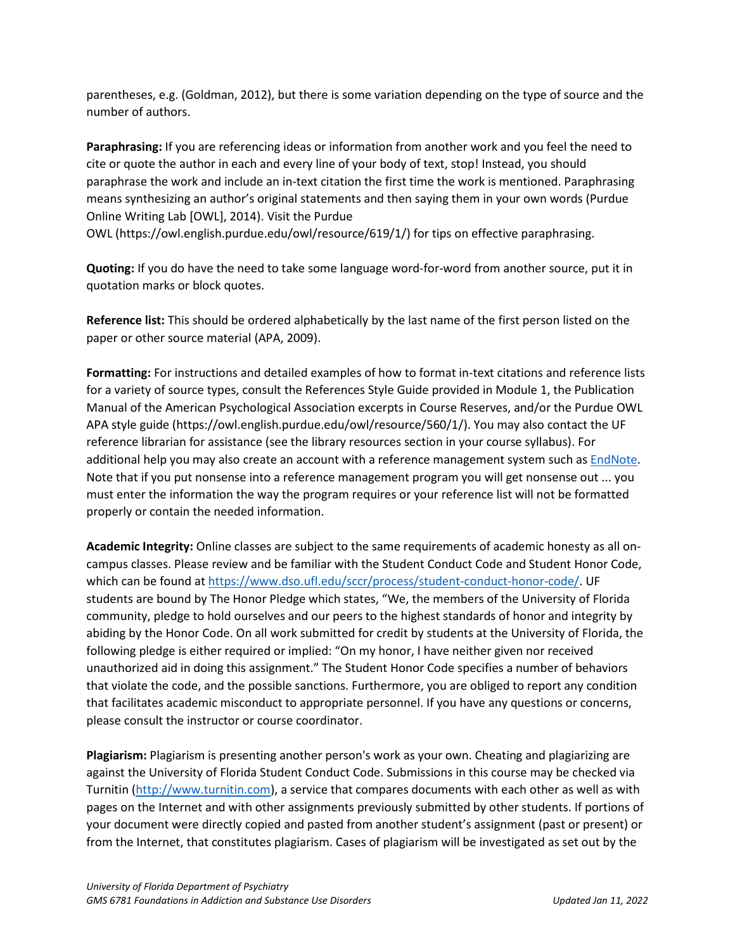parentheses, e.g. (Goldman, 2012), but there is some variation depending on the type of source and the number of authors.

**Paraphrasing:** If you are referencing ideas or information from another work and you feel the need to cite or quote the author in each and every line of your body of text, stop! Instead, you should paraphrase the work and include an in-text citation the first time the work is mentioned. Paraphrasing means synthesizing an author's original statements and then saying them in your own words (Purdue Online Writing Lab [OWL], 2014). Visit the Purdue

OWL (https://owl.english.purdue.edu/owl/resource/619/1/) for tips on effective paraphrasing.

**Quoting:** If you do have the need to take some language word-for-word from another source, put it in quotation marks or block quotes.

**Reference list:** This should be ordered alphabetically by the last name of the first person listed on the paper or other source material (APA, 2009).

**Formatting:** For instructions and detailed examples of how to format in-text citations and reference lists for a variety of source types, consult the References Style Guide provided in Module 1, the Publication Manual of the American Psychological Association excerpts in Course Reserves, and/or the Purdue OWL APA style guide (https://owl.english.purdue.edu/owl/resource/560/1/). You may also contact the UF reference librarian for assistance (see the library resources section in your course syllabus). For additional help you may also create an account with a reference management system such as [EndNote.](https://guides.uflib.ufl.edu/endnote) Note that if you put nonsense into a reference management program you will get nonsense out ... you must enter the information the way the program requires or your reference list will not be formatted properly or contain the needed information.

**Academic Integrity:** Online classes are subject to the same requirements of academic honesty as all oncampus classes. Please review and be familiar with the Student Conduct Code and Student Honor Code, which can be found a[t https://www.dso.ufl.edu/sccr/process/student-conduct-honor-code/.](https://www.dso.ufl.edu/sccr/process/student-conduct-honor-code/) UF students are bound by The Honor Pledge which states, "We, the members of the University of Florida community, pledge to hold ourselves and our peers to the highest standards of honor and integrity by abiding by the Honor Code. On all work submitted for credit by students at the University of Florida, the following pledge is either required or implied: "On my honor, I have neither given nor received unauthorized aid in doing this assignment." The Student Honor Code specifies a number of behaviors that violate the code, and the possible sanctions. Furthermore, you are obliged to report any condition that facilitates academic misconduct to appropriate personnel. If you have any questions or concerns, please consult the instructor or course coordinator.

**Plagiarism:** Plagiarism is presenting another person's work as your own. Cheating and plagiarizing are against the University of Florida Student Conduct Code. Submissions in this course may be checked via Turnitin [\(http://www.turnitin.com\)](http://www.turnitin.com/), a service that compares documents with each other as well as with pages on the Internet and with other assignments previously submitted by other students. If portions of your document were directly copied and pasted from another student's assignment (past or present) or from the Internet, that constitutes plagiarism. Cases of plagiarism will be investigated as set out by the